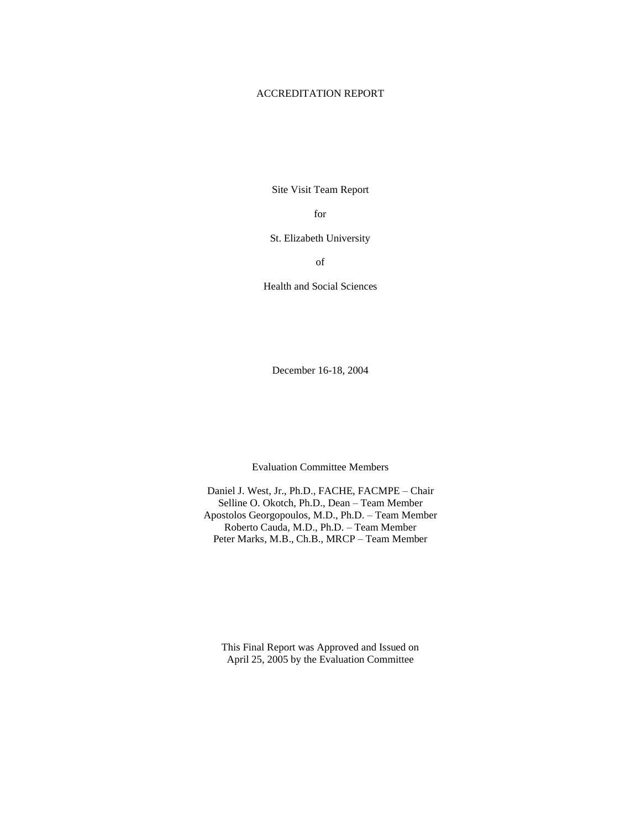## ACCREDITATION REPORT

Site Visit Team Report

for

St. Elizabeth University

of

Health and Social Sciences

December 16-18, 2004

Evaluation Committee Members

Daniel J. West, Jr., Ph.D., FACHE, FACMPE – Chair Selline O. Okotch, Ph.D., Dean – Team Member Apostolos Georgopoulos, M.D., Ph.D. – Team Member Roberto Cauda, M.D., Ph.D. – Team Member Peter Marks, M.B., Ch.B., MRCP – Team Member

This Final Report was Approved and Issued on April 25, 2005 by the Evaluation Committee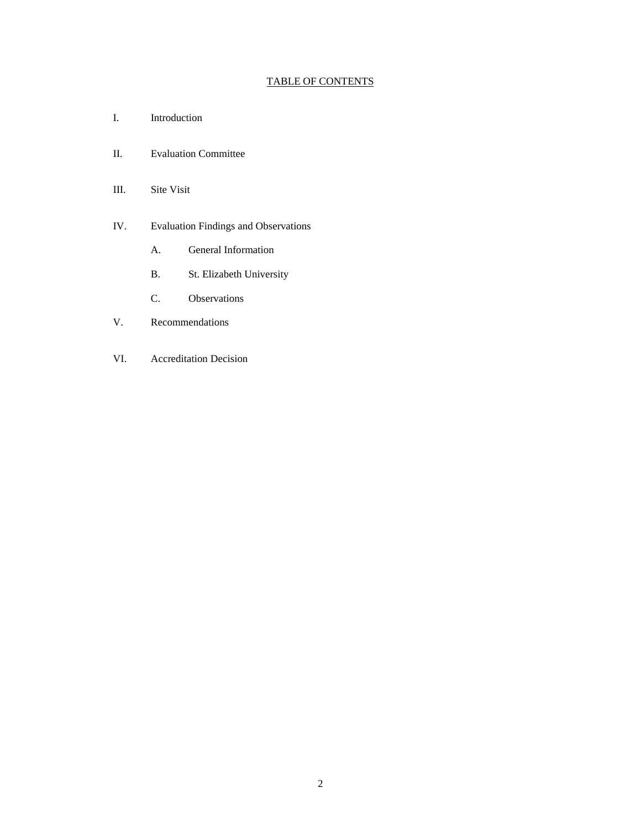# TABLE OF CONTENTS

- I. Introduction
- II. Evaluation Committee
- III. Site Visit
- IV. Evaluation Findings and Observations
	- A. General Information
	- B. St. Elizabeth University
	- C. Observations
- V. Recommendations
- VI. Accreditation Decision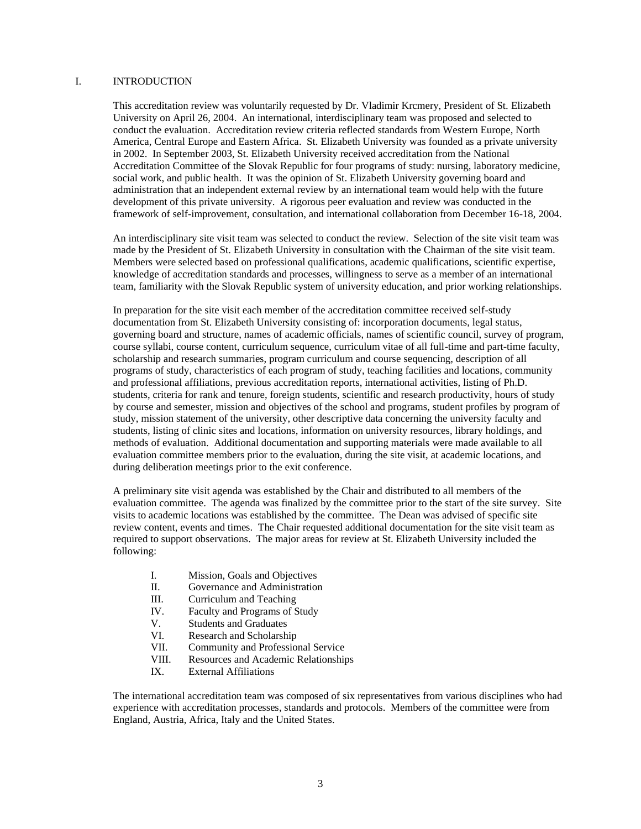### I. INTRODUCTION

This accreditation review was voluntarily requested by Dr. Vladimir Krcmery, President of St. Elizabeth University on April 26, 2004. An international, interdisciplinary team was proposed and selected to conduct the evaluation. Accreditation review criteria reflected standards from Western Europe, North America, Central Europe and Eastern Africa. St. Elizabeth University was founded as a private university in 2002. In September 2003, St. Elizabeth University received accreditation from the National Accreditation Committee of the Slovak Republic for four programs of study: nursing, laboratory medicine, social work, and public health. It was the opinion of St. Elizabeth University governing board and administration that an independent external review by an international team would help with the future development of this private university. A rigorous peer evaluation and review was conducted in the framework of self-improvement, consultation, and international collaboration from December 16-18, 2004.

An interdisciplinary site visit team was selected to conduct the review. Selection of the site visit team was made by the President of St. Elizabeth University in consultation with the Chairman of the site visit team. Members were selected based on professional qualifications, academic qualifications, scientific expertise, knowledge of accreditation standards and processes, willingness to serve as a member of an international team, familiarity with the Slovak Republic system of university education, and prior working relationships.

In preparation for the site visit each member of the accreditation committee received self-study documentation from St. Elizabeth University consisting of: incorporation documents, legal status, governing board and structure, names of academic officials, names of scientific council, survey of program, course syllabi, course content, curriculum sequence, curriculum vitae of all full-time and part-time faculty, scholarship and research summaries, program curriculum and course sequencing, description of all programs of study, characteristics of each program of study, teaching facilities and locations, community and professional affiliations, previous accreditation reports, international activities, listing of Ph.D. students, criteria for rank and tenure, foreign students, scientific and research productivity, hours of study by course and semester, mission and objectives of the school and programs, student profiles by program of study, mission statement of the university, other descriptive data concerning the university faculty and students, listing of clinic sites and locations, information on university resources, library holdings, and methods of evaluation. Additional documentation and supporting materials were made available to all evaluation committee members prior to the evaluation, during the site visit, at academic locations, and during deliberation meetings prior to the exit conference.

A preliminary site visit agenda was established by the Chair and distributed to all members of the evaluation committee. The agenda was finalized by the committee prior to the start of the site survey. Site visits to academic locations was established by the committee. The Dean was advised of specific site review content, events and times. The Chair requested additional documentation for the site visit team as required to support observations. The major areas for review at St. Elizabeth University included the following:

- I. Mission, Goals and Objectives
- II. Governance and Administration
- III. Curriculum and Teaching
- IV. Faculty and Programs of Study
- V. Students and Graduates
- VI. Research and Scholarship
- VII. Community and Professional Service
- VIII. Resources and Academic Relationships
- IX. External Affiliations

The international accreditation team was composed of six representatives from various disciplines who had experience with accreditation processes, standards and protocols. Members of the committee were from England, Austria, Africa, Italy and the United States.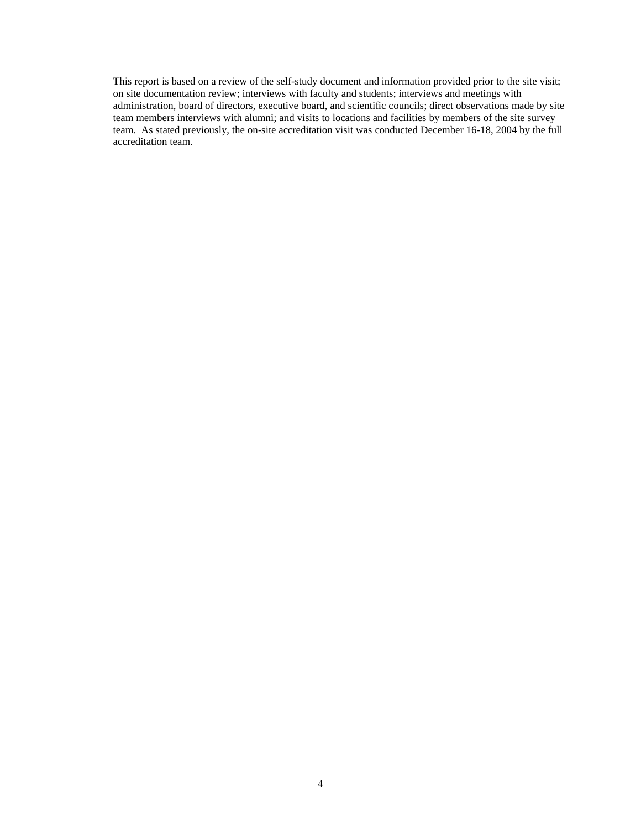This report is based on a review of the self-study document and information provided prior to the site visit; on site documentation review; interviews with faculty and students; interviews and meetings with administration, board of directors, executive board, and scientific councils; direct observations made by site team members interviews with alumni; and visits to locations and facilities by members of the site survey team. As stated previously, the on-site accreditation visit was conducted December 16-18, 2004 by the full accreditation team.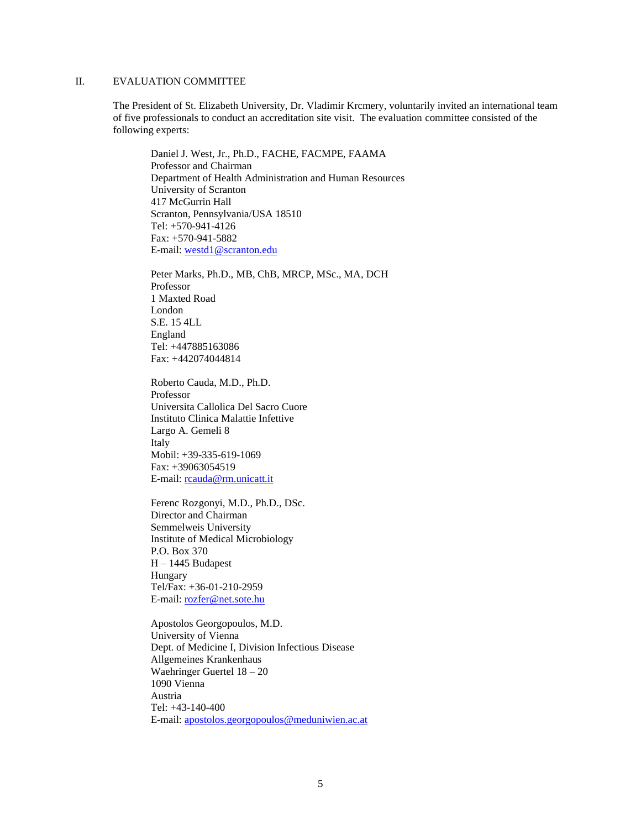## II. EVALUATION COMMITTEE

The President of St. Elizabeth University, Dr. Vladimir Krcmery, voluntarily invited an international team of five professionals to conduct an accreditation site visit. The evaluation committee consisted of the following experts:

Daniel J. West, Jr., Ph.D., FACHE, FACMPE, FAAMA Professor and Chairman Department of Health Administration and Human Resources University of Scranton 417 McGurrin Hall Scranton, Pennsylvania/USA 18510 Tel: +570-941-4126 Fax: +570-941-5882 E-mail: [westd1@scranton.edu](mailto:westd1@scranton.edu)

Peter Marks, Ph.D., MB, ChB, MRCP, MSc., MA, DCH Professor 1 Maxted Road London S.E. 15 4LL England Tel: +447885163086 Fax: +442074044814

Roberto Cauda, M.D., Ph.D. Professor Universita Callolica Del Sacro Cuore Instituto Clinica Malattie Infettive Largo A. Gemeli 8 Italy Mobil: +39-335-619-1069 Fax: +39063054519 E-mail: [rcauda@rm.unicatt.it](mailto:rcauda@rm.unicatt.it)

Ferenc Rozgonyi, M.D., Ph.D., DSc. Director and Chairman Semmelweis University Institute of Medical Microbiology P.O. Box 370 H – 1445 Budapest Hungary Tel/Fax: +36-01-210-2959 E-mail: [rozfer@net.sote.hu](mailto:rozfer@net.sote.hu)

Apostolos Georgopoulos, M.D. University of Vienna Dept. of Medicine I, Division Infectious Disease Allgemeines Krankenhaus Waehringer Guertel 18 – 20 1090 Vienna Austria Tel: +43-140-400 E-mail: [apostolos.georgopoulos@meduniwien.ac.at](mailto:apostolos.georgopoulos@meduniwien.ac.at)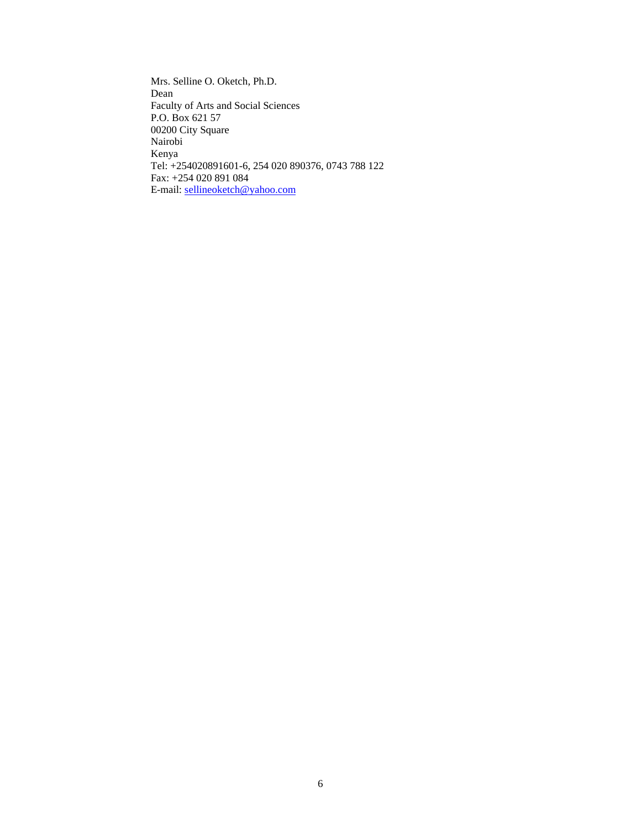Mrs. Selline O. Oketch, Ph.D. Dean Faculty of Arts and Social Sciences P.O. Box 621 57 00200 City Square Nairobi Kenya Tel: +254020891601-6, 254 020 890376, 0743 788 122 Fax: +254 020 891 084 E-mail: [sellineoketch@yahoo.com](mailto:sellineoketch@yahoo.com)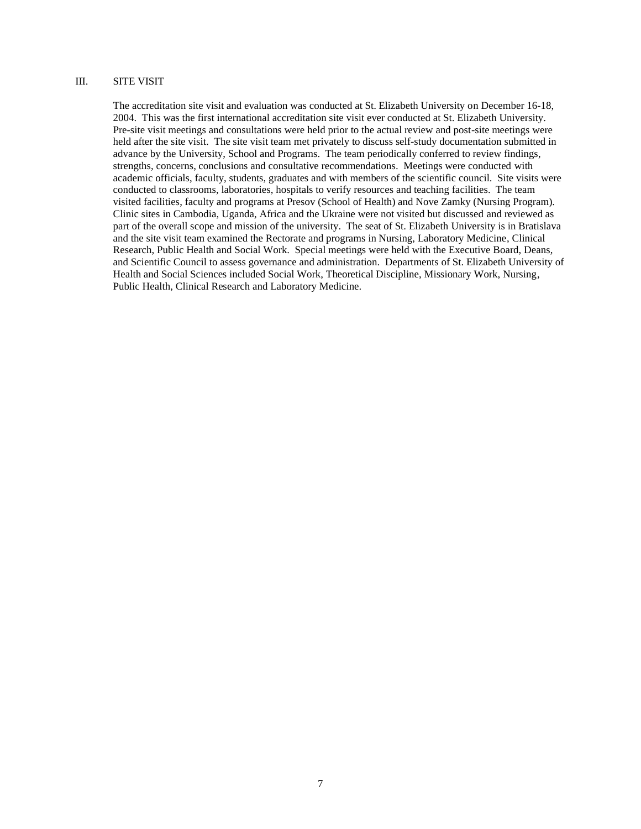### III. SITE VISIT

The accreditation site visit and evaluation was conducted at St. Elizabeth University on December 16-18, 2004. This was the first international accreditation site visit ever conducted at St. Elizabeth University. Pre-site visit meetings and consultations were held prior to the actual review and post-site meetings were held after the site visit. The site visit team met privately to discuss self-study documentation submitted in advance by the University, School and Programs. The team periodically conferred to review findings, strengths, concerns, conclusions and consultative recommendations. Meetings were conducted with academic officials, faculty, students, graduates and with members of the scientific council. Site visits were conducted to classrooms, laboratories, hospitals to verify resources and teaching facilities. The team visited facilities, faculty and programs at Presov (School of Health) and Nove Zamky (Nursing Program). Clinic sites in Cambodia, Uganda, Africa and the Ukraine were not visited but discussed and reviewed as part of the overall scope and mission of the university. The seat of St. Elizabeth University is in Bratislava and the site visit team examined the Rectorate and programs in Nursing, Laboratory Medicine, Clinical Research, Public Health and Social Work. Special meetings were held with the Executive Board, Deans, and Scientific Council to assess governance and administration. Departments of St. Elizabeth University of Health and Social Sciences included Social Work, Theoretical Discipline, Missionary Work, Nursing, Public Health, Clinical Research and Laboratory Medicine.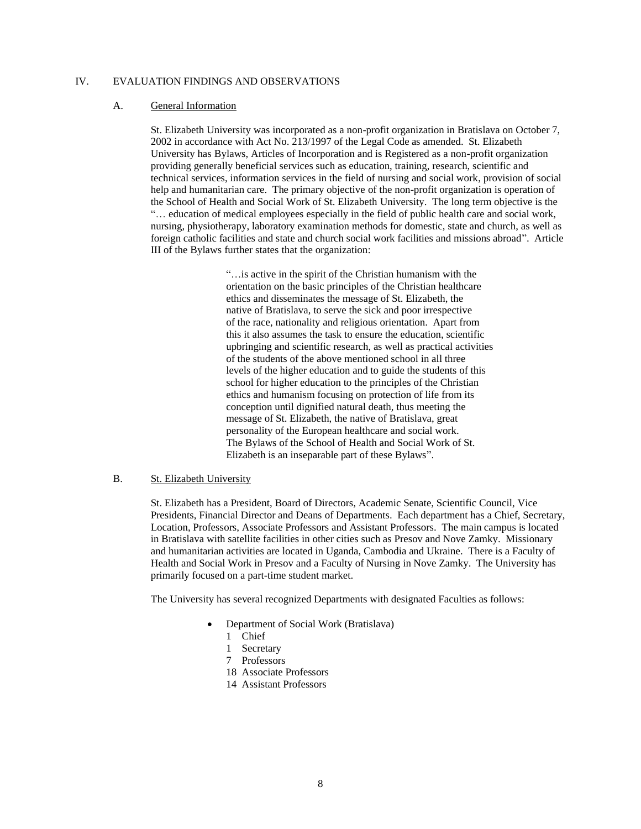### IV. EVALUATION FINDINGS AND OBSERVATIONS

#### A. General Information

St. Elizabeth University was incorporated as a non-profit organization in Bratislava on October 7, 2002 in accordance with Act No. 213/1997 of the Legal Code as amended. St. Elizabeth University has Bylaws, Articles of Incorporation and is Registered as a non-profit organization providing generally beneficial services such as education, training, research, scientific and technical services, information services in the field of nursing and social work, provision of social help and humanitarian care. The primary objective of the non-profit organization is operation of the School of Health and Social Work of St. Elizabeth University. The long term objective is the "… education of medical employees especially in the field of public health care and social work, nursing, physiotherapy, laboratory examination methods for domestic, state and church, as well as foreign catholic facilities and state and church social work facilities and missions abroad". Article III of the Bylaws further states that the organization:

> "…is active in the spirit of the Christian humanism with the orientation on the basic principles of the Christian healthcare ethics and disseminates the message of St. Elizabeth, the native of Bratislava, to serve the sick and poor irrespective of the race, nationality and religious orientation. Apart from this it also assumes the task to ensure the education, scientific upbringing and scientific research, as well as practical activities of the students of the above mentioned school in all three levels of the higher education and to guide the students of this school for higher education to the principles of the Christian ethics and humanism focusing on protection of life from its conception until dignified natural death, thus meeting the message of St. Elizabeth, the native of Bratislava, great personality of the European healthcare and social work. The Bylaws of the School of Health and Social Work of St. Elizabeth is an inseparable part of these Bylaws".

### B. St. Elizabeth University

St. Elizabeth has a President, Board of Directors, Academic Senate, Scientific Council, Vice Presidents, Financial Director and Deans of Departments. Each department has a Chief, Secretary, Location, Professors, Associate Professors and Assistant Professors. The main campus is located in Bratislava with satellite facilities in other cities such as Presov and Nove Zamky. Missionary and humanitarian activities are located in Uganda, Cambodia and Ukraine. There is a Faculty of Health and Social Work in Presov and a Faculty of Nursing in Nove Zamky. The University has primarily focused on a part-time student market.

The University has several recognized Departments with designated Faculties as follows:

- Department of Social Work (Bratislava)
	- 1 Chief
	- 1 Secretary
	- 7 Professors
	- 18 Associate Professors
	- 14 Assistant Professors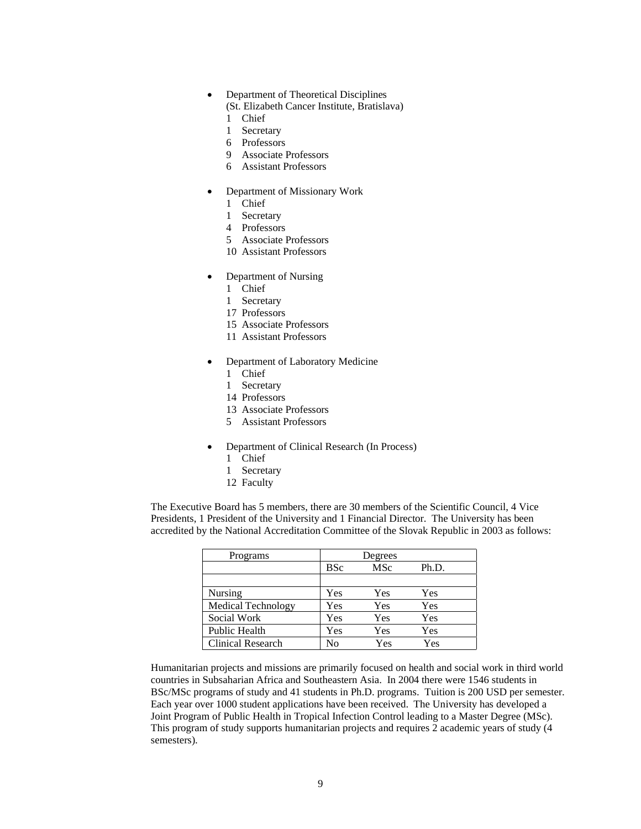- Department of Theoretical Disciplines
	- (St. Elizabeth Cancer Institute, Bratislava)
	- 1 Chief
	- 1 Secretary
	- 6 Professors
	- 9 Associate Professors
	- 6 Assistant Professors
- Department of Missionary Work
	- 1 Chief
	- 1 Secretary
	- 4 Professors
	- 5 Associate Professors
	- 10 Assistant Professors
- Department of Nursing
	- 1 Chief
	- 1 Secretary
	- 17 Professors
	- 15 Associate Professors
	- 11 Assistant Professors
- Department of Laboratory Medicine
	- 1 Chief
	- 1 Secretary
	- 14 Professors
	- 13 Associate Professors
	- 5 Assistant Professors
- Department of Clinical Research (In Process)
	- 1 Chief
	- 1 Secretary
	- 12 Faculty

The Executive Board has 5 members, there are 30 members of the Scientific Council, 4 Vice Presidents, 1 President of the University and 1 Financial Director. The University has been accredited by the National Accreditation Committee of the Slovak Republic in 2003 as follows:

| Programs                  | Degrees    |     |       |
|---------------------------|------------|-----|-------|
|                           | <b>BSc</b> | MSc | Ph.D. |
|                           |            |     |       |
| Nursing                   | Yes        | Yes | Yes   |
| <b>Medical Technology</b> | Yes        | Yes | Yes   |
| Social Work               | Yes        | Yes | Yes   |
| <b>Public Health</b>      | Yes        | Yes | Yes   |
| <b>Clinical Research</b>  | Nο         | Yes | Yes   |

Humanitarian projects and missions are primarily focused on health and social work in third world countries in Subsaharian Africa and Southeastern Asia. In 2004 there were 1546 students in BSc/MSc programs of study and 41 students in Ph.D. programs. Tuition is 200 USD per semester. Each year over 1000 student applications have been received. The University has developed a Joint Program of Public Health in Tropical Infection Control leading to a Master Degree (MSc). This program of study supports humanitarian projects and requires 2 academic years of study (4 semesters).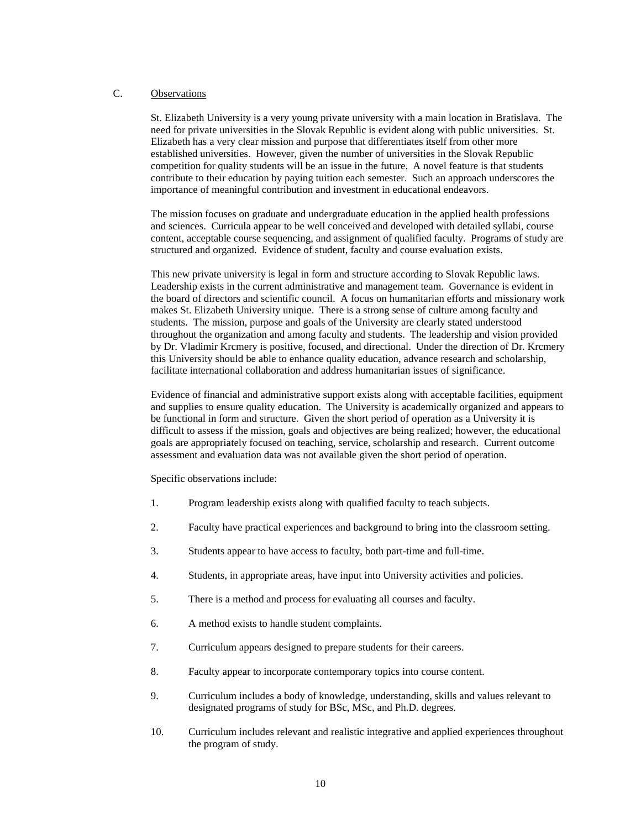## C. Observations

St. Elizabeth University is a very young private university with a main location in Bratislava. The need for private universities in the Slovak Republic is evident along with public universities. St. Elizabeth has a very clear mission and purpose that differentiates itself from other more established universities. However, given the number of universities in the Slovak Republic competition for quality students will be an issue in the future. A novel feature is that students contribute to their education by paying tuition each semester. Such an approach underscores the importance of meaningful contribution and investment in educational endeavors.

The mission focuses on graduate and undergraduate education in the applied health professions and sciences. Curricula appear to be well conceived and developed with detailed syllabi, course content, acceptable course sequencing, and assignment of qualified faculty. Programs of study are structured and organized. Evidence of student, faculty and course evaluation exists.

This new private university is legal in form and structure according to Slovak Republic laws. Leadership exists in the current administrative and management team. Governance is evident in the board of directors and scientific council. A focus on humanitarian efforts and missionary work makes St. Elizabeth University unique. There is a strong sense of culture among faculty and students. The mission, purpose and goals of the University are clearly stated understood throughout the organization and among faculty and students. The leadership and vision provided by Dr. Vladimir Krcmery is positive, focused, and directional. Under the direction of Dr. Krcmery this University should be able to enhance quality education, advance research and scholarship, facilitate international collaboration and address humanitarian issues of significance.

Evidence of financial and administrative support exists along with acceptable facilities, equipment and supplies to ensure quality education. The University is academically organized and appears to be functional in form and structure. Given the short period of operation as a University it is difficult to assess if the mission, goals and objectives are being realized; however, the educational goals are appropriately focused on teaching, service, scholarship and research. Current outcome assessment and evaluation data was not available given the short period of operation.

Specific observations include:

- 1. Program leadership exists along with qualified faculty to teach subjects.
- 2. Faculty have practical experiences and background to bring into the classroom setting.
- 3. Students appear to have access to faculty, both part-time and full-time.
- 4. Students, in appropriate areas, have input into University activities and policies.
- 5. There is a method and process for evaluating all courses and faculty.
- 6. A method exists to handle student complaints.
- 7. Curriculum appears designed to prepare students for their careers.
- 8. Faculty appear to incorporate contemporary topics into course content.
- 9. Curriculum includes a body of knowledge, understanding, skills and values relevant to designated programs of study for BSc, MSc, and Ph.D. degrees.
- 10. Curriculum includes relevant and realistic integrative and applied experiences throughout the program of study.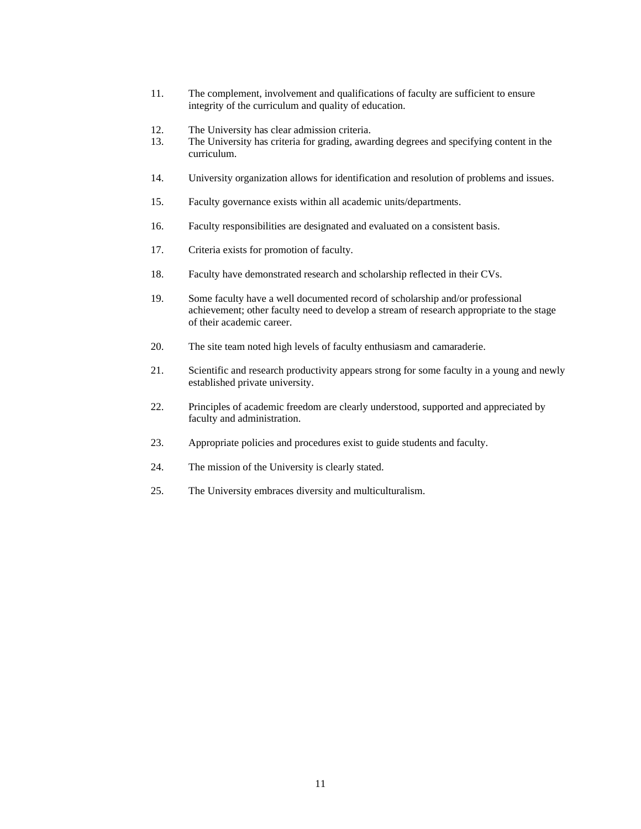- 11. The complement, involvement and qualifications of faculty are sufficient to ensure integrity of the curriculum and quality of education.
- 12. The University has clear admission criteria.
- 13. The University has criteria for grading, awarding degrees and specifying content in the curriculum.
- 14. University organization allows for identification and resolution of problems and issues.
- 15. Faculty governance exists within all academic units/departments.
- 16. Faculty responsibilities are designated and evaluated on a consistent basis.
- 17. Criteria exists for promotion of faculty.
- 18. Faculty have demonstrated research and scholarship reflected in their CVs.
- 19. Some faculty have a well documented record of scholarship and/or professional achievement; other faculty need to develop a stream of research appropriate to the stage of their academic career.
- 20. The site team noted high levels of faculty enthusiasm and camaraderie.
- 21. Scientific and research productivity appears strong for some faculty in a young and newly established private university.
- 22. Principles of academic freedom are clearly understood, supported and appreciated by faculty and administration.
- 23. Appropriate policies and procedures exist to guide students and faculty.
- 24. The mission of the University is clearly stated.
- 25. The University embraces diversity and multiculturalism.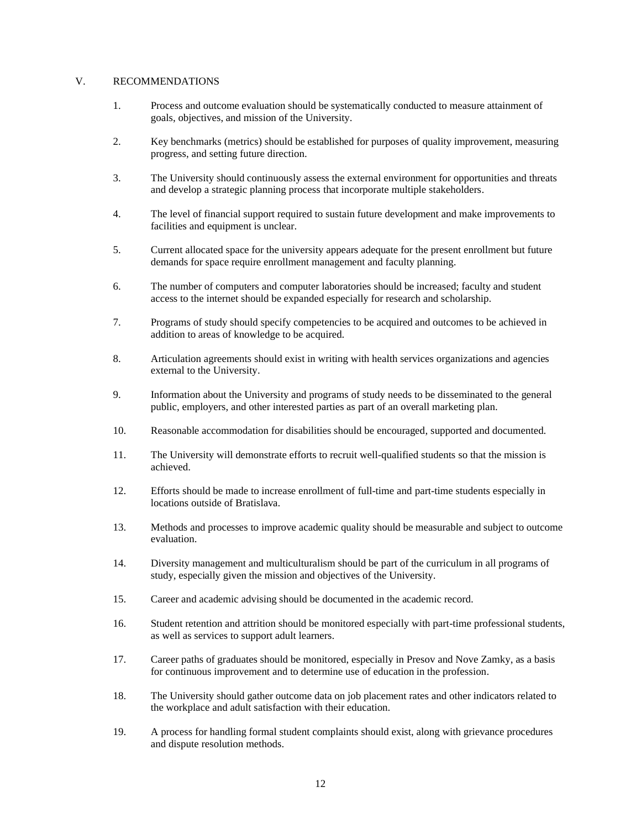### V. RECOMMENDATIONS

- 1. Process and outcome evaluation should be systematically conducted to measure attainment of goals, objectives, and mission of the University.
- 2. Key benchmarks (metrics) should be established for purposes of quality improvement, measuring progress, and setting future direction.
- 3. The University should continuously assess the external environment for opportunities and threats and develop a strategic planning process that incorporate multiple stakeholders.
- 4. The level of financial support required to sustain future development and make improvements to facilities and equipment is unclear.
- 5. Current allocated space for the university appears adequate for the present enrollment but future demands for space require enrollment management and faculty planning.
- 6. The number of computers and computer laboratories should be increased; faculty and student access to the internet should be expanded especially for research and scholarship.
- 7. Programs of study should specify competencies to be acquired and outcomes to be achieved in addition to areas of knowledge to be acquired.
- 8. Articulation agreements should exist in writing with health services organizations and agencies external to the University.
- 9. Information about the University and programs of study needs to be disseminated to the general public, employers, and other interested parties as part of an overall marketing plan.
- 10. Reasonable accommodation for disabilities should be encouraged, supported and documented.
- 11. The University will demonstrate efforts to recruit well-qualified students so that the mission is achieved.
- 12. Efforts should be made to increase enrollment of full-time and part-time students especially in locations outside of Bratislava.
- 13. Methods and processes to improve academic quality should be measurable and subject to outcome evaluation.
- 14. Diversity management and multiculturalism should be part of the curriculum in all programs of study, especially given the mission and objectives of the University.
- 15. Career and academic advising should be documented in the academic record.
- 16. Student retention and attrition should be monitored especially with part-time professional students, as well as services to support adult learners.
- 17. Career paths of graduates should be monitored, especially in Presov and Nove Zamky, as a basis for continuous improvement and to determine use of education in the profession.
- 18. The University should gather outcome data on job placement rates and other indicators related to the workplace and adult satisfaction with their education.
- 19. A process for handling formal student complaints should exist, along with grievance procedures and dispute resolution methods.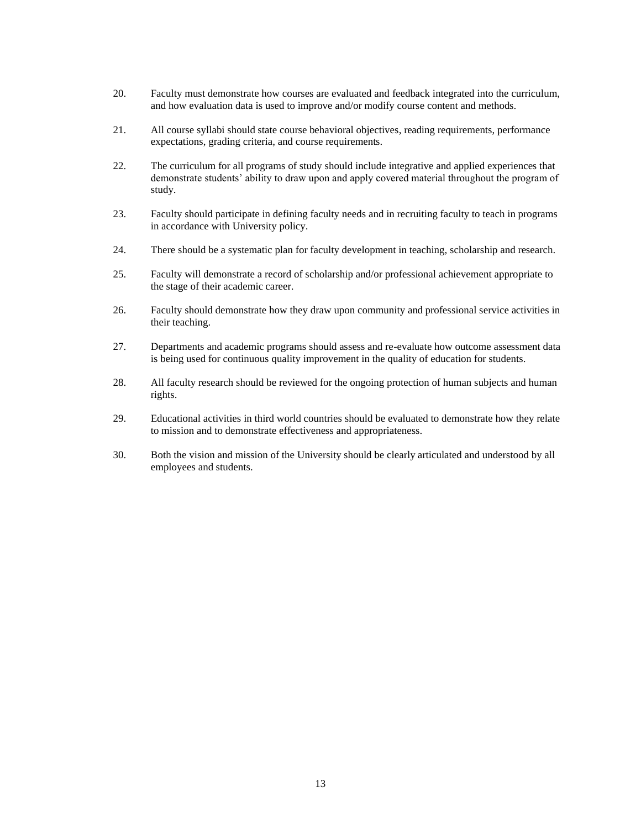- 20. Faculty must demonstrate how courses are evaluated and feedback integrated into the curriculum, and how evaluation data is used to improve and/or modify course content and methods.
- 21. All course syllabi should state course behavioral objectives, reading requirements, performance expectations, grading criteria, and course requirements.
- 22. The curriculum for all programs of study should include integrative and applied experiences that demonstrate students' ability to draw upon and apply covered material throughout the program of study.
- 23. Faculty should participate in defining faculty needs and in recruiting faculty to teach in programs in accordance with University policy.
- 24. There should be a systematic plan for faculty development in teaching, scholarship and research.
- 25. Faculty will demonstrate a record of scholarship and/or professional achievement appropriate to the stage of their academic career.
- 26. Faculty should demonstrate how they draw upon community and professional service activities in their teaching.
- 27. Departments and academic programs should assess and re-evaluate how outcome assessment data is being used for continuous quality improvement in the quality of education for students.
- 28. All faculty research should be reviewed for the ongoing protection of human subjects and human rights.
- 29. Educational activities in third world countries should be evaluated to demonstrate how they relate to mission and to demonstrate effectiveness and appropriateness.
- 30. Both the vision and mission of the University should be clearly articulated and understood by all employees and students.